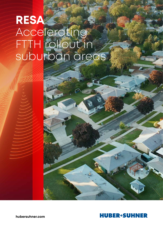# **RESA** Accelerating FTTH rollout in suburban areas



**hubersuhner.com**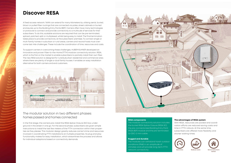A fixed access network / WAN can extend for many kilometers by utilising aerial, buried, blown or pulled fiber routings that are connected via poles, street cabinets or buried enclosures up to the Building Entry Points (BEP). Carriers often have many technologies or protocols to connect and provide connectivity to a multitude of services for their subscribers. To do this, scalable solutions are required that can be pre-terminated, spliced, patched, split or multiplexed, whilst being easy to install. The final termination takes place to provide connectivity at the subscribers' premises. To connect single or multi-family homes in suburban or rural areas, carriers and neutral hosts must overcome last mile challenges. These include the coordination of time, resources and costs.

To support carriers in overcoming these challenges, HUBER+SUHNER developed an innovative and proven Fiber-to-the-Home (FTTH) modular connectivity solution, RESA, which is the first on the market to enable subscribers to partially install their own fiber. The new RESA solution is designed for rural/suburban residential and commercial area. where there are plenty of single or dual family houses. It enables an easy installation alternative for both carriers and end customers.



### **Discover RESA**





#### **The advantages of RESA system**

With RESA, resources are pooled and coordination efforts are reduced saving costs and time in FTTH rollouts. At the same time, subscribers are offered more flexibility and shorter waiting times.



#### **RESA components**

The modular connectivity solution includes the buried RESA Splice Closure (RESA SC), the pre-connectorized Building Entry Point (RESA BEP) module and the pre-terminated Q-ODC-2 mini cable.

#### **Rugged and durable**

The modules can withstand harsh outdoor conditions (IP68) in an amplitude of climates and will provide long-term FTTH network connectivity.

#### The modular solution in two different phases: homes passed and homes connected

In the first stage, the carriers pre-install the RESA Splice Closure (SC) box underground in the street in one go. For the second phase, subscribers are given simple instructions to install the last few meters of the FTTH connection within their properties as they please. This modular design greatly reduces carrier's time and resources involved in coordinating FTTH installations at multiple properties. Its plug and play functionality makes for easy installation, which streamlines the process and allows for individual adaptions based on connectivity demands.